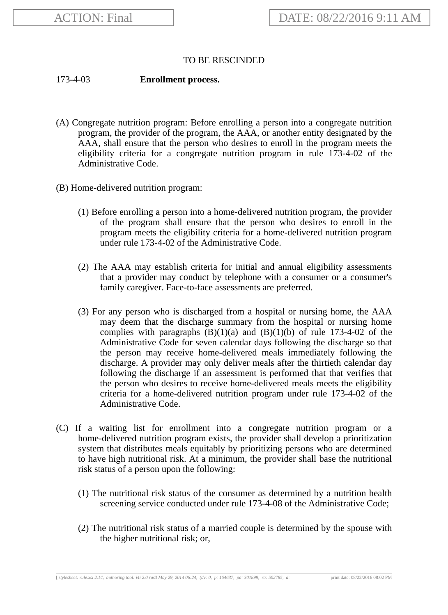## TO BE RESCINDED

## 173-4-03 **Enrollment process.**

- (A) Congregate nutrition program: Before enrolling a person into a congregate nutrition program, the provider of the program, the AAA, or another entity designated by the AAA, shall ensure that the person who desires to enroll in the program meets the eligibility criteria for a congregate nutrition program in rule 173-4-02 of the Administrative Code.
- (B) Home-delivered nutrition program:
	- (1) Before enrolling a person into a home-delivered nutrition program, the provider of the program shall ensure that the person who desires to enroll in the program meets the eligibility criteria for a home-delivered nutrition program under rule 173-4-02 of the Administrative Code.
	- (2) The AAA may establish criteria for initial and annual eligibility assessments that a provider may conduct by telephone with a consumer or a consumer's family caregiver. Face-to-face assessments are preferred.
	- (3) For any person who is discharged from a hospital or nursing home, the AAA may deem that the discharge summary from the hospital or nursing home complies with paragraphs  $(B)(1)(a)$  and  $(B)(1)(b)$  of rule 173-4-02 of the Administrative Code for seven calendar days following the discharge so that the person may receive home-delivered meals immediately following the discharge. A provider may only deliver meals after the thirtieth calendar day following the discharge if an assessment is performed that that verifies that the person who desires to receive home-delivered meals meets the eligibility criteria for a home-delivered nutrition program under rule 173-4-02 of the Administrative Code.
- (C) If a waiting list for enrollment into a congregate nutrition program or a home-delivered nutrition program exists, the provider shall develop a prioritization system that distributes meals equitably by prioritizing persons who are determined to have high nutritional risk. At a minimum, the provider shall base the nutritional risk status of a person upon the following:
	- (1) The nutritional risk status of the consumer as determined by a nutrition health screening service conducted under rule 173-4-08 of the Administrative Code;
	- (2) The nutritional risk status of a married couple is determined by the spouse with the higher nutritional risk; or,

[ *stylesheet: rule.xsl 2.14, authoring tool: i4i 2.0 ras3 May 29, 2014 06:24, (dv: 0, p: 164637, pa: 301899, ra: 502785, d:* print date: 08/22/2016 08:02 PM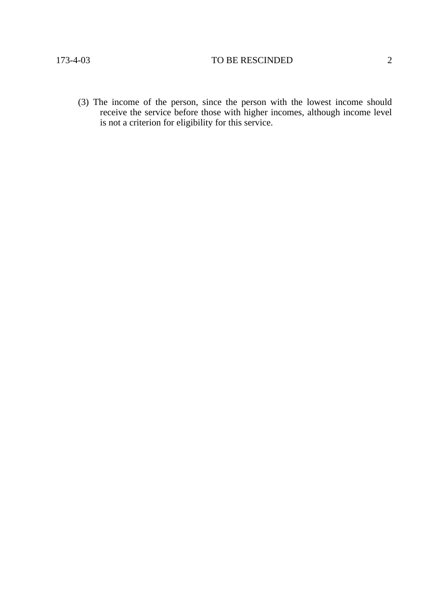(3) The income of the person, since the person with the lowest income should receive the service before those with higher incomes, although income level is not a criterion for eligibility for this service.